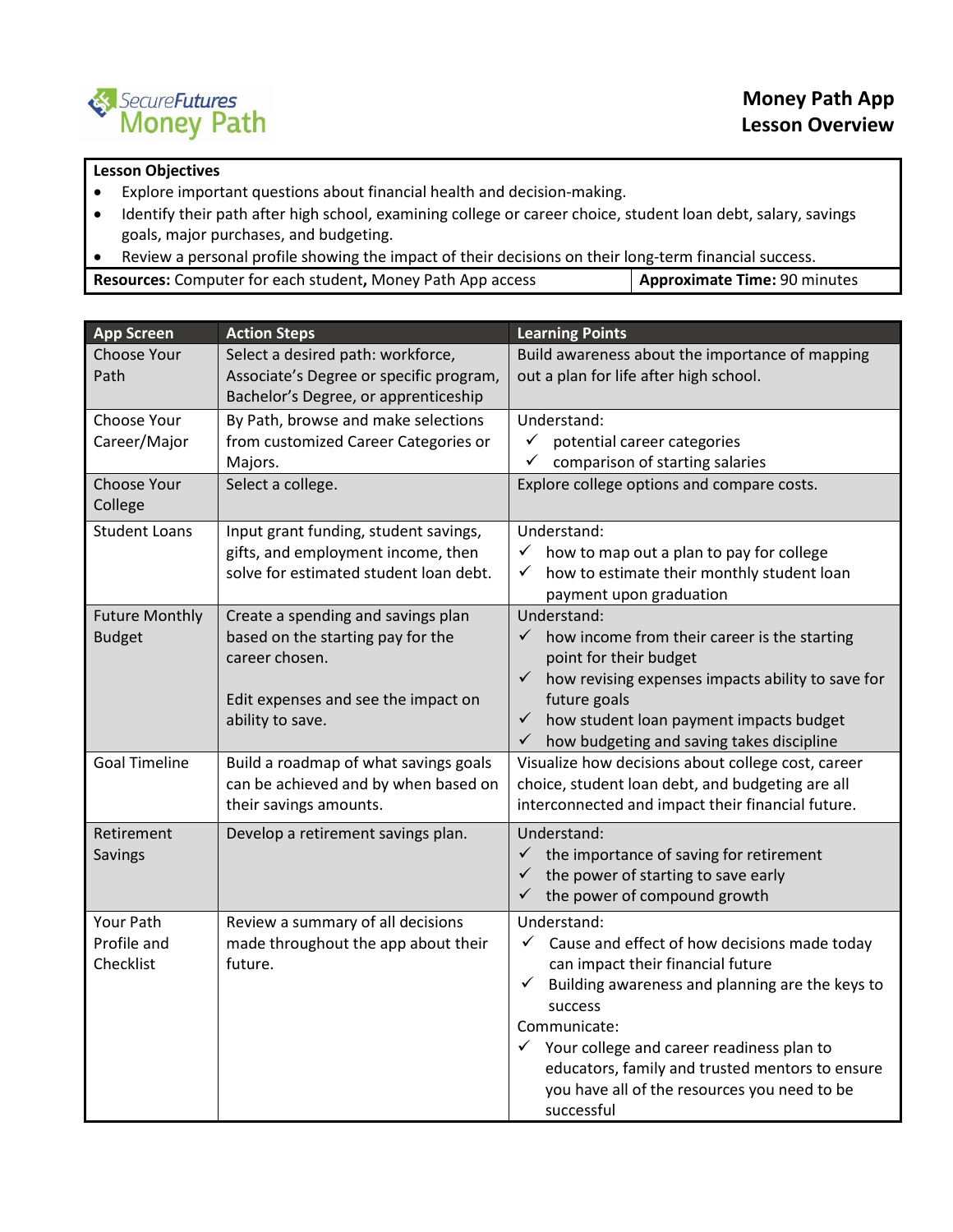

## **Lesson Objectives**

- Explore important questions about financial health and decision-making.
- Identify their path after high school, examining college or career choice, student loan debt, salary, savings goals, major purchases, and budgeting.
- Review a personal profile showing the impact of their decisions on their long-term financial success.

| <b>Resources:</b> Computer for each student, Money Path App access | <b>Approximate Time: 90 minutes</b> |
|--------------------------------------------------------------------|-------------------------------------|
|--------------------------------------------------------------------|-------------------------------------|

| <b>App Screen</b>                      | <b>Action Steps</b>                                                                                                                                  | <b>Learning Points</b>                                                                                                                                                                                                                                                                                                                                                                 |
|----------------------------------------|------------------------------------------------------------------------------------------------------------------------------------------------------|----------------------------------------------------------------------------------------------------------------------------------------------------------------------------------------------------------------------------------------------------------------------------------------------------------------------------------------------------------------------------------------|
| Choose Your<br>Path                    | Select a desired path: workforce,<br>Associate's Degree or specific program,<br>Bachelor's Degree, or apprenticeship                                 | Build awareness about the importance of mapping<br>out a plan for life after high school.                                                                                                                                                                                                                                                                                              |
| Choose Your<br>Career/Major            | By Path, browse and make selections<br>from customized Career Categories or<br>Majors.                                                               | Understand:<br>$\checkmark$<br>potential career categories<br>comparison of starting salaries<br>✓                                                                                                                                                                                                                                                                                     |
| Choose Your<br>College                 | Select a college.                                                                                                                                    | Explore college options and compare costs.                                                                                                                                                                                                                                                                                                                                             |
| <b>Student Loans</b>                   | Input grant funding, student savings,<br>gifts, and employment income, then<br>solve for estimated student loan debt.                                | Understand:<br>how to map out a plan to pay for college<br>$\checkmark$<br>how to estimate their monthly student loan<br>$\checkmark$<br>payment upon graduation                                                                                                                                                                                                                       |
| <b>Future Monthly</b><br><b>Budget</b> | Create a spending and savings plan<br>based on the starting pay for the<br>career chosen.<br>Edit expenses and see the impact on<br>ability to save. | Understand:<br>$\checkmark$<br>how income from their career is the starting<br>point for their budget<br>how revising expenses impacts ability to save for<br>$\checkmark$<br>future goals<br>how student loan payment impacts budget<br>$\checkmark$<br>how budgeting and saving takes discipline<br>$\checkmark$                                                                     |
| <b>Goal Timeline</b>                   | Build a roadmap of what savings goals<br>can be achieved and by when based on<br>their savings amounts.                                              | Visualize how decisions about college cost, career<br>choice, student loan debt, and budgeting are all<br>interconnected and impact their financial future.                                                                                                                                                                                                                            |
| Retirement<br>Savings                  | Develop a retirement savings plan.                                                                                                                   | Understand:<br>$\checkmark$<br>the importance of saving for retirement<br>the power of starting to save early<br>✓<br>$\checkmark$<br>the power of compound growth                                                                                                                                                                                                                     |
| Your Path<br>Profile and<br>Checklist  | Review a summary of all decisions<br>made throughout the app about their<br>future.                                                                  | Understand:<br>$\checkmark$ Cause and effect of how decisions made today<br>can impact their financial future<br>Building awareness and planning are the keys to<br>$\checkmark$<br>success<br>Communicate:<br>$\checkmark$ Your college and career readiness plan to<br>educators, family and trusted mentors to ensure<br>you have all of the resources you need to be<br>successful |